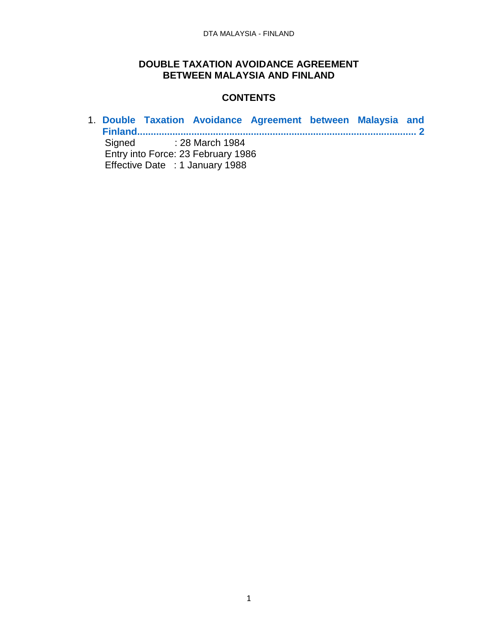#### **DOUBLE TAXATION AVOIDANCE AGREEMENT BETWEEN MALAYSIA AND FINLAND**

#### <span id="page-0-0"></span>**CONTENTS**

1. **[Double Taxation Avoidance Agreement between Malaysia and](#page-0-0)  [Finland.......................................................................................................](#page-0-0) 2** Signed : 28 March 1984 Entry into Force: 23 February 1986 Effective Date : 1 January 1988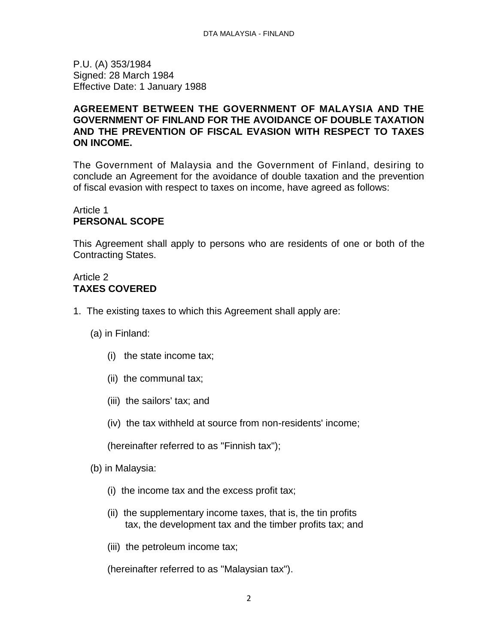P.U. (A) 353/1984 Signed: 28 March 1984 Effective Date: 1 January 1988

#### **AGREEMENT BETWEEN THE GOVERNMENT OF MALAYSIA AND THE GOVERNMENT OF FINLAND FOR THE AVOIDANCE OF DOUBLE TAXATION AND THE PREVENTION OF FISCAL EVASION WITH RESPECT TO TAXES ON INCOME.**

The Government of Malaysia and the Government of Finland, desiring to conclude an Agreement for the avoidance of double taxation and the prevention of fiscal evasion with respect to taxes on income, have agreed as follows:

#### Article 1 **PERSONAL SCOPE**

This Agreement shall apply to persons who are residents of one or both of the Contracting States.

## Article 2 **TAXES COVERED**

- 1. The existing taxes to which this Agreement shall apply are:
	- (a) in Finland:
		- (i) the state income tax;
		- (ii) the communal tax;
		- (iii) the sailors' tax; and
		- (iv) the tax withheld at source from non-residents' income;

(hereinafter referred to as "Finnish tax");

- (b) in Malaysia:
	- (i) the income tax and the excess profit tax;
	- (ii) the supplementary income taxes, that is, the tin profits tax, the development tax and the timber profits tax; and
	- (iii) the petroleum income tax;

(hereinafter referred to as "Malaysian tax").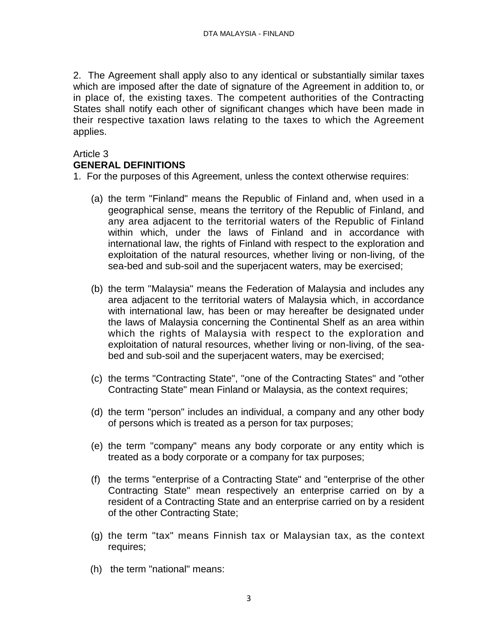2. The Agreement shall apply also to any identical or substantially similar taxes which are imposed after the date of signature of the Agreement in addition to, or in place of, the existing taxes. The competent authorities of the Contracting States shall notify each other of significant changes which have been made in their respective taxation laws relating to the taxes to which the Agreement applies.

#### Article 3 **GENERAL DEFINITIONS**

1. For the purposes of this Agreement, unless the context otherwise requires:

- (a) the term "Finland" means the Republic of Finland and, when used in a geographical sense, means the territory of the Republic of Finland, and any area adjacent to the territorial waters of the Republic of Finland within which, under the laws of Finland and in accordance with international law, the rights of Finland with respect to the exploration and exploitation of the natural resources, whether living or non-living, of the sea-bed and sub-soil and the superjacent waters, may be exercised;
- (b) the term "Malaysia" means the Federation of Malaysia and includes any area adjacent to the territorial waters of Malaysia which, in accordance with international law, has been or may hereafter be designated under the laws of Malaysia concerning the Continental Shelf as an area within which the rights of Malaysia with respect to the exploration and exploitation of natural resources, whether living or non-living, of the seabed and sub-soil and the superjacent waters, may be exercised;
- (c) the terms "Contracting State", "one of the Contracting States" and "other Contracting State" mean Finland or Malaysia, as the context requires;
- (d) the term "person" includes an individual, a company and any other body of persons which is treated as a person for tax purposes;
- (e) the term "company" means any body corporate or any entity which is treated as a body corporate or a company for tax purposes;
- (f) the terms "enterprise of a Contracting State" and "enterprise of the other Contracting State" mean respectively an enterprise carried on by a resident of a Contracting State and an enterprise carried on by a resident of the other Contracting State;
- (g) the term "tax" means Finnish tax or Malaysian tax, as the context requires;
- (h) the term "national" means: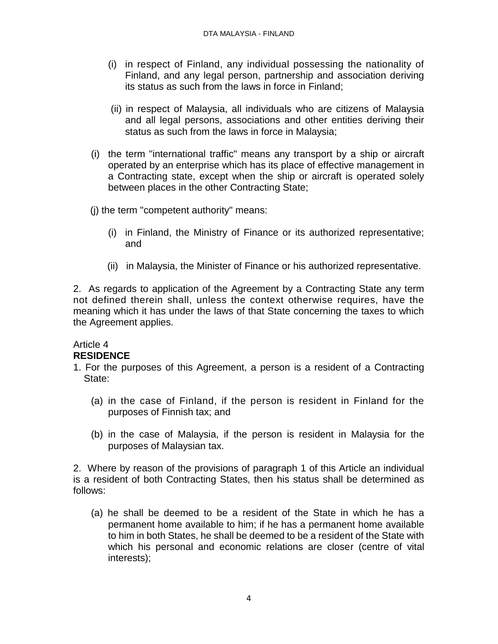- (i) in respect of Finland, any individual possessing the nationality of Finland, and any legal person, partnership and association deriving its status as such from the laws in force in Finland;
- (ii) in respect of Malaysia, all individuals who are citizens of Malaysia and all legal persons, associations and other entities deriving their status as such from the laws in force in Malaysia;
- (i) the term "international traffic" means any transport by a ship or aircraft operated by an enterprise which has its place of effective management in a Contracting state, except when the ship or aircraft is operated solely between places in the other Contracting State;
- (j) the term "competent authority" means:
	- (i) in Finland, the Ministry of Finance or its authorized representative; and
	- (ii) in Malaysia, the Minister of Finance or his authorized representative.

2. As regards to application of the Agreement by a Contracting State any term not defined therein shall, unless the context otherwise requires, have the meaning which it has under the laws of that State concerning the taxes to which the Agreement applies.

#### Article 4 **RESIDENCE**

- 1. For the purposes of this Agreement, a person is a resident of a Contracting State:
	- (a) in the case of Finland, if the person is resident in Finland for the purposes of Finnish tax; and
	- (b) in the case of Malaysia, if the person is resident in Malaysia for the purposes of Malaysian tax.

2. Where by reason of the provisions of paragraph 1 of this Article an individual is a resident of both Contracting States, then his status shall be determined as follows:

(a) he shall be deemed to be a resident of the State in which he has a permanent home available to him; if he has a permanent home available to him in both States, he shall be deemed to be a resident of the State with which his personal and economic relations are closer (centre of vital interests);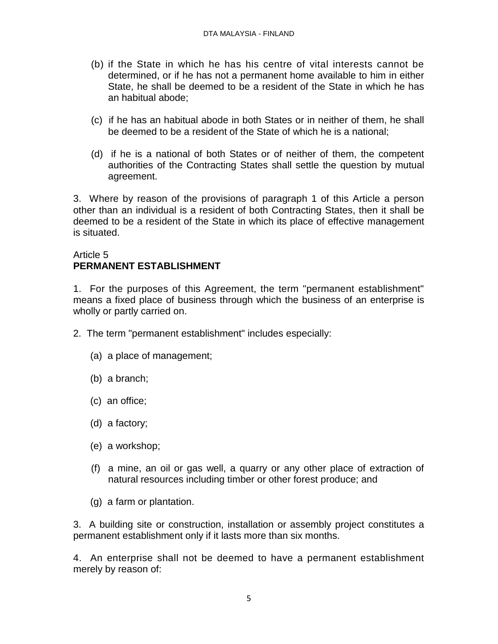- (b) if the State in which he has his centre of vital interests cannot be determined, or if he has not a permanent home available to him in either State, he shall be deemed to be a resident of the State in which he has an habitual abode;
- (c) if he has an habitual abode in both States or in neither of them, he shall be deemed to be a resident of the State of which he is a national;
- (d) if he is a national of both States or of neither of them, the competent authorities of the Contracting States shall settle the question by mutual agreement.

3. Where by reason of the provisions of paragraph 1 of this Article a person other than an individual is a resident of both Contracting States, then it shall be deemed to be a resident of the State in which its place of effective management is situated.

# Article 5

## **PERMANENT ESTABLISHMENT**

1. For the purposes of this Agreement, the term "permanent establishment" means a fixed place of business through which the business of an enterprise is wholly or partly carried on.

- 2. The term "permanent establishment" includes especially:
	- (a) a place of management;
	- (b) a branch;
	- (c) an office;
	- (d) a factory;
	- (e) a workshop;
	- (f) a mine, an oil or gas well, a quarry or any other place of extraction of natural resources including timber or other forest produce; and
	- (g) a farm or plantation.

3. A building site or construction, installation or assembly project constitutes a permanent establishment only if it lasts more than six months.

4. An enterprise shall not be deemed to have a permanent establishment merely by reason of: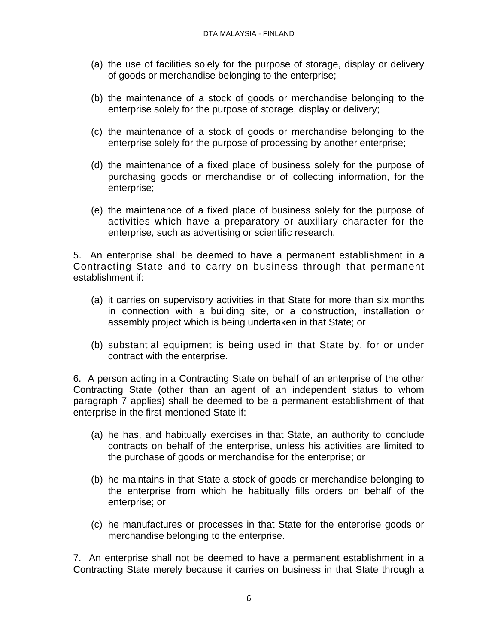- (a) the use of facilities solely for the purpose of storage, display or delivery of goods or merchandise belonging to the enterprise;
- (b) the maintenance of a stock of goods or merchandise belonging to the enterprise solely for the purpose of storage, display or delivery;
- (c) the maintenance of a stock of goods or merchandise belonging to the enterprise solely for the purpose of processing by another enterprise;
- (d) the maintenance of a fixed place of business solely for the purpose of purchasing goods or merchandise or of collecting information, for the enterprise;
- (e) the maintenance of a fixed place of business solely for the purpose of activities which have a preparatory or auxiliary character for the enterprise, such as advertising or scientific research.

5. An enterprise shall be deemed to have a permanent establishment in a Contracting State and to carry on business through that permanent establishment if:

- (a) it carries on supervisory activities in that State for more than six months in connection with a building site, or a construction, installation or assembly project which is being undertaken in that State; or
- (b) substantial equipment is being used in that State by, for or under contract with the enterprise.

6. A person acting in a Contracting State on behalf of an enterprise of the other Contracting State (other than an agent of an independent status to whom paragraph 7 applies) shall be deemed to be a permanent establishment of that enterprise in the first-mentioned State if:

- (a) he has, and habitually exercises in that State, an authority to conclude contracts on behalf of the enterprise, unless his activities are limited to the purchase of goods or merchandise for the enterprise; or
- (b) he maintains in that State a stock of goods or merchandise belonging to the enterprise from which he habitually fills orders on behalf of the enterprise; or
- (c) he manufactures or processes in that State for the enterprise goods or merchandise belonging to the enterprise.

7. An enterprise shall not be deemed to have a permanent establishment in a Contracting State merely because it carries on business in that State through a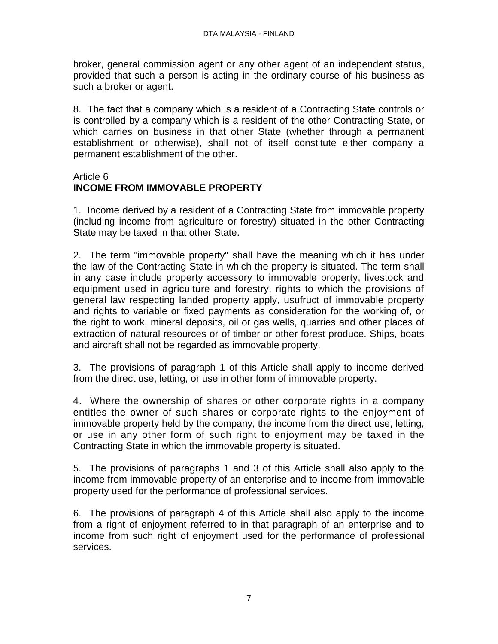broker, general commission agent or any other agent of an independent status, provided that such a person is acting in the ordinary course of his business as such a broker or agent.

8. The fact that a company which is a resident of a Contracting State controls or is controlled by a company which is a resident of the other Contracting State, or which carries on business in that other State (whether through a permanent establishment or otherwise), shall not of itself constitute either company a permanent establishment of the other.

#### Article 6

## **INCOME FROM IMMOVABLE PROPERTY**

1. Income derived by a resident of a Contracting State from immovable property (including income from agriculture or forestry) situated in the other Contracting State may be taxed in that other State.

2. The term "immovable property" shall have the meaning which it has under the law of the Contracting State in which the property is situated. The term shall in any case include property accessory to immovable property, livestock and equipment used in agriculture and forestry, rights to which the provisions of general law respecting landed property apply, usufruct of immovable property and rights to variable or fixed payments as consideration for the working of, or the right to work, mineral deposits, oil or gas wells, quarries and other places of extraction of natural resources or of timber or other forest produce. Ships, boats and aircraft shall not be regarded as immovable property.

3. The provisions of paragraph 1 of this Article shall apply to income derived from the direct use, letting, or use in other form of immovable property.

4. Where the ownership of shares or other corporate rights in a company entitles the owner of such shares or corporate rights to the enjoyment of immovable property held by the company, the income from the direct use, letting, or use in any other form of such right to enjoyment may be taxed in the Contracting State in which the immovable property is situated.

5. The provisions of paragraphs 1 and 3 of this Article shall also apply to the income from immovable property of an enterprise and to income from immovable property used for the performance of professional services.

6. The provisions of paragraph 4 of this Article shall also apply to the income from a right of enjoyment referred to in that paragraph of an enterprise and to income from such right of enjoyment used for the performance of professional services.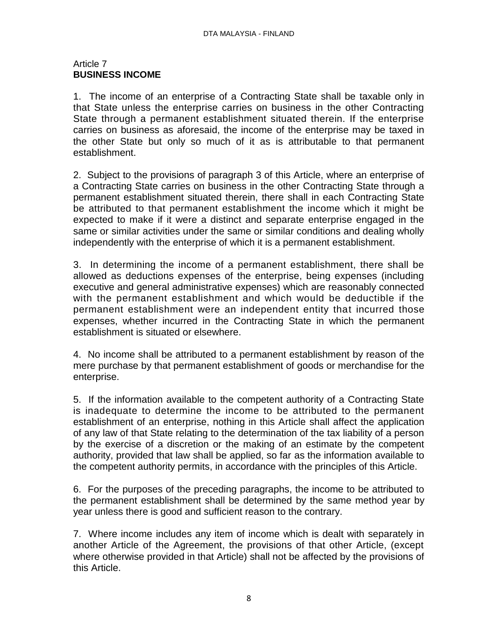#### Article 7 **BUSINESS INCOME**

1. The income of an enterprise of a Contracting State shall be taxable only in that State unless the enterprise carries on business in the other Contracting State through a permanent establishment situated therein. If the enterprise carries on business as aforesaid, the income of the enterprise may be taxed in the other State but only so much of it as is attributable to that permanent establishment.

2. Subject to the provisions of paragraph 3 of this Article, where an enterprise of a Contracting State carries on business in the other Contracting State through a permanent establishment situated therein, there shall in each Contracting State be attributed to that permanent establishment the income which it might be expected to make if it were a distinct and separate enterprise engaged in the same or similar activities under the same or similar conditions and dealing wholly independently with the enterprise of which it is a permanent establishment.

3. In determining the income of a permanent establishment, there shall be allowed as deductions expenses of the enterprise, being expenses (including executive and general administrative expenses) which are reasonably connected with the permanent establishment and which would be deductible if the permanent establishment were an independent entity that incurred those expenses, whether incurred in the Contracting State in which the permanent establishment is situated or elsewhere.

4. No income shall be attributed to a permanent establishment by reason of the mere purchase by that permanent establishment of goods or merchandise for the enterprise.

5. If the information available to the competent authority of a Contracting State is inadequate to determine the income to be attributed to the permanent establishment of an enterprise, nothing in this Article shall affect the application of any law of that State relating to the determination of the tax liability of a person by the exercise of a discretion or the making of an estimate by the competent authority, provided that law shall be applied, so far as the information available to the competent authority permits, in accordance with the principles of this Article.

6. For the purposes of the preceding paragraphs, the income to be attributed to the permanent establishment shall be determined by the same method year by year unless there is good and sufficient reason to the contrary.

7. Where income includes any item of income which is dealt with separately in another Article of the Agreement, the provisions of that other Article, (except where otherwise provided in that Article) shall not be affected by the provisions of this Article.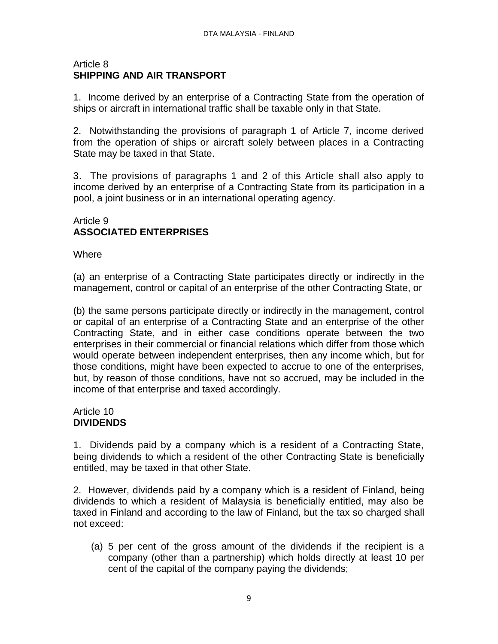#### Article 8 **SHIPPING AND AIR TRANSPORT**

1. Income derived by an enterprise of a Contracting State from the operation of ships or aircraft in international traffic shall be taxable only in that State.

2. Notwithstanding the provisions of paragraph 1 of Article 7, income derived from the operation of ships or aircraft solely between places in a Contracting State may be taxed in that State.

3. The provisions of paragraphs 1 and 2 of this Article shall also apply to income derived by an enterprise of a Contracting State from its participation in a pool, a joint business or in an international operating agency.

#### Article 9 **ASSOCIATED ENTERPRISES**

**Where** 

(a) an enterprise of a Contracting State participates directly or indirectly in the management, control or capital of an enterprise of the other Contracting State, or

(b) the same persons participate directly or indirectly in the management, control or capital of an enterprise of a Contracting State and an enterprise of the other Contracting State, and in either case conditions operate between the two enterprises in their commercial or financial relations which differ from those which would operate between independent enterprises, then any income which, but for those conditions, might have been expected to accrue to one of the enterprises, but, by reason of those conditions, have not so accrued, may be included in the income of that enterprise and taxed accordingly.

#### Article 10 **DIVIDENDS**

1. Dividends paid by a company which is a resident of a Contracting State, being dividends to which a resident of the other Contracting State is beneficially entitled, may be taxed in that other State.

2. However, dividends paid by a company which is a resident of Finland, being dividends to which a resident of Malaysia is beneficially entitled, may also be taxed in Finland and according to the law of Finland, but the tax so charged shall not exceed:

(a) 5 per cent of the gross amount of the dividends if the recipient is a company (other than a partnership) which holds directly at least 10 per cent of the capital of the company paying the dividends;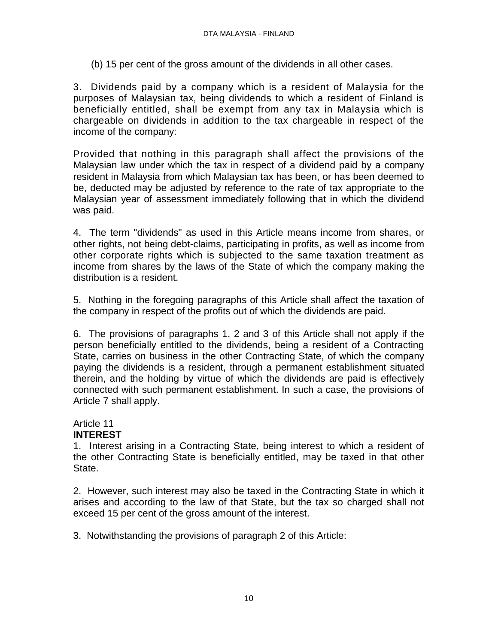(b) 15 per cent of the gross amount of the dividends in all other cases.

3. Dividends paid by a company which is a resident of Malaysia for the purposes of Malaysian tax, being dividends to which a resident of Finland is beneficially entitled, shall be exempt from any tax in Malaysia which is chargeable on dividends in addition to the tax chargeable in respect of the income of the company:

Provided that nothing in this paragraph shall affect the provisions of the Malaysian law under which the tax in respect of a dividend paid by a company resident in Malaysia from which Malaysian tax has been, or has been deemed to be, deducted may be adjusted by reference to the rate of tax appropriate to the Malaysian year of assessment immediately following that in which the dividend was paid.

4. The term "dividends" as used in this Article means income from shares, or other rights, not being debt-claims, participating in profits, as well as income from other corporate rights which is subjected to the same taxation treatment as income from shares by the laws of the State of which the company making the distribution is a resident.

5. Nothing in the foregoing paragraphs of this Article shall affect the taxation of the company in respect of the profits out of which the dividends are paid.

6. The provisions of paragraphs 1, 2 and 3 of this Article shall not apply if the person beneficially entitled to the dividends, being a resident of a Contracting State, carries on business in the other Contracting State, of which the company paying the dividends is a resident, through a permanent establishment situated therein, and the holding by virtue of which the dividends are paid is effectively connected with such permanent establishment. In such a case, the provisions of Article 7 shall apply.

#### Article 11 **INTEREST**

1. Interest arising in a Contracting State, being interest to which a resident of the other Contracting State is beneficially entitled, may be taxed in that other State.

2. However, such interest may also be taxed in the Contracting State in which it arises and according to the law of that State, but the tax so charged shall not exceed 15 per cent of the gross amount of the interest.

3. Notwithstanding the provisions of paragraph 2 of this Article: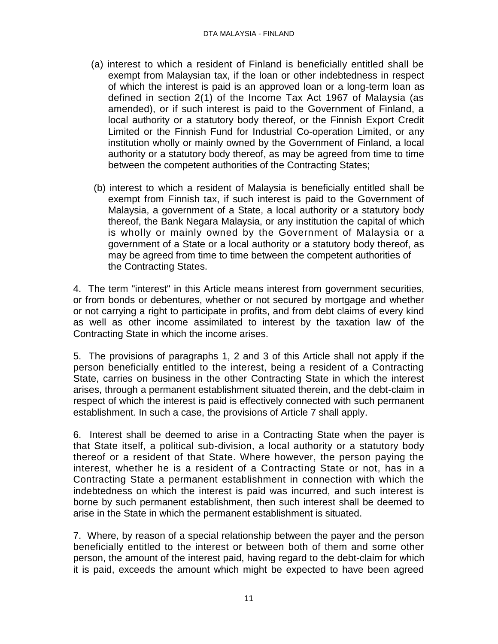- (a) interest to which a resident of Finland is beneficially entitled shall be exempt from Malaysian tax, if the loan or other indebtedness in respect of which the interest is paid is an approved loan or a long-term loan as defined in section 2(1) of the Income Tax Act 1967 of Malaysia (as amended), or if such interest is paid to the Government of Finland, a local authority or a statutory body thereof, or the Finnish Export Credit Limited or the Finnish Fund for Industrial Co-operation Limited, or any institution wholly or mainly owned by the Government of Finland, a local authority or a statutory body thereof, as may be agreed from time to time between the competent authorities of the Contracting States;
- (b) interest to which a resident of Malaysia is beneficially entitled shall be exempt from Finnish tax, if such interest is paid to the Government of Malaysia, a government of a State, a local authority or a statutory body thereof, the Bank Negara Malaysia, or any institution the capital of which is wholly or mainly owned by the Government of Malaysia or a government of a State or a local authority or a statutory body thereof, as may be agreed from time to time between the competent authorities of the Contracting States.

4. The term "interest" in this Article means interest from government securities, or from bonds or debentures, whether or not secured by mortgage and whether or not carrying a right to participate in profits, and from debt claims of every kind as well as other income assimilated to interest by the taxation law of the Contracting State in which the income arises.

5. The provisions of paragraphs 1, 2 and 3 of this Article shall not apply if the person beneficially entitled to the interest, being a resident of a Contracting State, carries on business in the other Contracting State in which the interest arises, through a permanent establishment situated therein, and the debt-claim in respect of which the interest is paid is effectively connected with such permanent establishment. In such a case, the provisions of Article 7 shall apply.

6. Interest shall be deemed to arise in a Contracting State when the payer is that State itself, a political sub-division, a local authority or a statutory body thereof or a resident of that State. Where however, the person paying the interest, whether he is a resident of a Contracting State or not, has in a Contracting State a permanent establishment in connection with which the indebtedness on which the interest is paid was incurred, and such interest is borne by such permanent establishment, then such interest shall be deemed to arise in the State in which the permanent establishment is situated.

7. Where, by reason of a special relationship between the payer and the person beneficially entitled to the interest or between both of them and some other person, the amount of the interest paid, having regard to the debt-claim for which it is paid, exceeds the amount which might be expected to have been agreed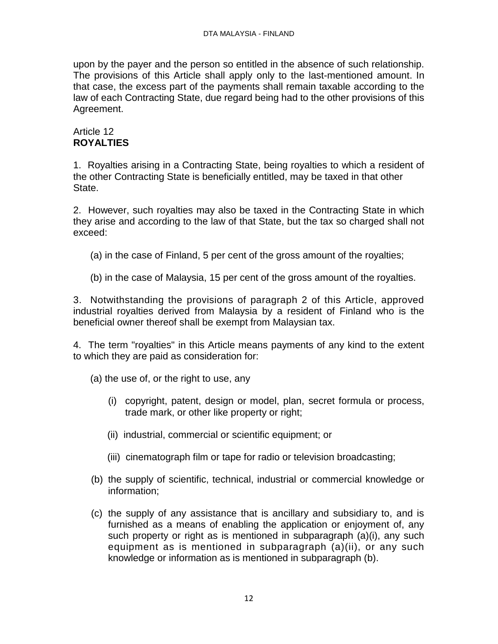upon by the payer and the person so entitled in the absence of such relationship. The provisions of this Article shall apply only to the last-mentioned amount. In that case, the excess part of the payments shall remain taxable according to the law of each Contracting State, due regard being had to the other provisions of this Agreement.

## Article 12 **ROYALTIES**

1. Royalties arising in a Contracting State, being royalties to which a resident of the other Contracting State is beneficially entitled, may be taxed in that other State.

2. However, such royalties may also be taxed in the Contracting State in which they arise and according to the law of that State, but the tax so charged shall not exceed:

- (a) in the case of Finland, 5 per cent of the gross amount of the royalties;
- (b) in the case of Malaysia, 15 per cent of the gross amount of the royalties.

3. Notwithstanding the provisions of paragraph 2 of this Article, approved industrial royalties derived from Malaysia by a resident of Finland who is the beneficial owner thereof shall be exempt from Malaysian tax.

4. The term "royalties" in this Article means payments of any kind to the extent to which they are paid as consideration for:

- (a) the use of, or the right to use, any
	- (i) copyright, patent, design or model, plan, secret formula or process, trade mark, or other like property or right;
	- (ii) industrial, commercial or scientific equipment; or
	- (iii) cinematograph film or tape for radio or television broadcasting;
- (b) the supply of scientific, technical, industrial or commercial knowledge or information;
- (c) the supply of any assistance that is ancillary and subsidiary to, and is furnished as a means of enabling the application or enjoyment of, any such property or right as is mentioned in subparagraph (a)(i), any such equipment as is mentioned in subparagraph (a)(ii), or any such knowledge or information as is mentioned in subparagraph (b).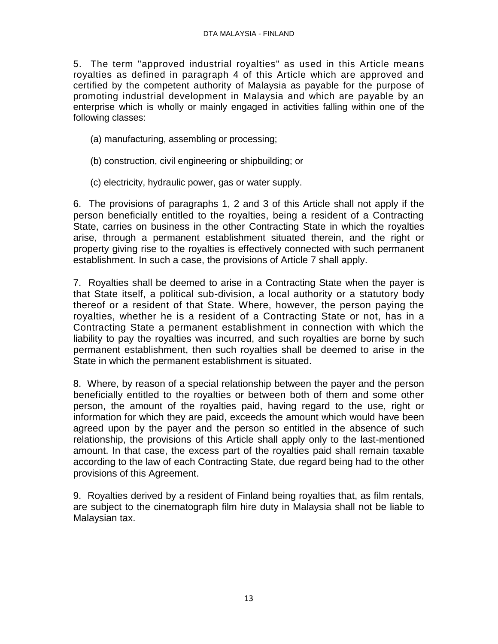5. The term "approved industrial royalties" as used in this Article means royalties as defined in paragraph 4 of this Article which are approved and certified by the competent authority of Malaysia as payable for the purpose of promoting industrial development in Malaysia and which are payable by an enterprise which is wholly or mainly engaged in activities falling within one of the following classes:

- (a) manufacturing, assembling or processing;
- (b) construction, civil engineering or shipbuilding; or
- (c) electricity, hydraulic power, gas or water supply.

6. The provisions of paragraphs 1, 2 and 3 of this Article shall not apply if the person beneficially entitled to the royalties, being a resident of a Contracting State, carries on business in the other Contracting State in which the royalties arise, through a permanent establishment situated therein, and the right or property giving rise to the royalties is effectively connected with such permanent establishment. In such a case, the provisions of Article 7 shall apply.

7. Royalties shall be deemed to arise in a Contracting State when the payer is that State itself, a political sub-division, a local authority or a statutory body thereof or a resident of that State. Where, however, the person paying the royalties, whether he is a resident of a Contracting State or not, has in a Contracting State a permanent establishment in connection with which the liability to pay the royalties was incurred, and such royalties are borne by such permanent establishment, then such royalties shall be deemed to arise in the State in which the permanent establishment is situated.

8. Where, by reason of a special relationship between the payer and the person beneficially entitled to the royalties or between both of them and some other person, the amount of the royalties paid, having regard to the use, right or information for which they are paid, exceeds the amount which would have been agreed upon by the payer and the person so entitled in the absence of such relationship, the provisions of this Article shall apply only to the last-mentioned amount. In that case, the excess part of the royalties paid shall remain taxable according to the law of each Contracting State, due regard being had to the other provisions of this Agreement.

9. Royalties derived by a resident of Finland being royalties that, as film rentals, are subject to the cinematograph film hire duty in Malaysia shall not be liable to Malaysian tax.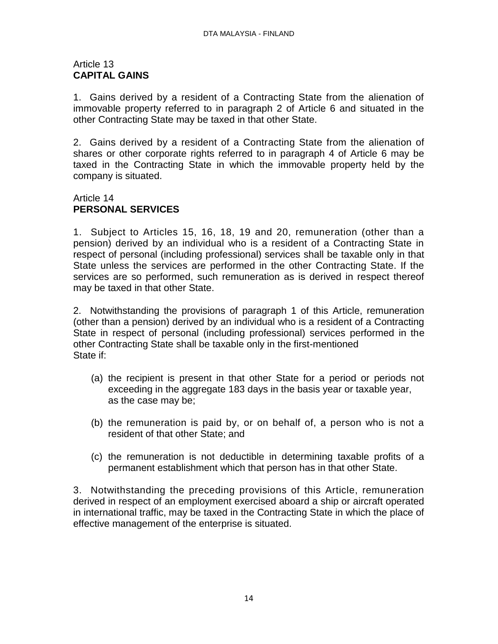#### Article 13 **CAPITAL GAINS**

1. Gains derived by a resident of a Contracting State from the alienation of immovable property referred to in paragraph 2 of Article 6 and situated in the other Contracting State may be taxed in that other State.

2. Gains derived by a resident of a Contracting State from the alienation of shares or other corporate rights referred to in paragraph 4 of Article 6 may be taxed in the Contracting State in which the immovable property held by the company is situated.

#### Article 14 **PERSONAL SERVICES**

1. Subject to Articles 15, 16, 18, 19 and 20, remuneration (other than a pension) derived by an individual who is a resident of a Contracting State in respect of personal (including professional) services shall be taxable only in that State unless the services are performed in the other Contracting State. If the services are so performed, such remuneration as is derived in respect thereof may be taxed in that other State.

2. Notwithstanding the provisions of paragraph 1 of this Article, remuneration (other than a pension) derived by an individual who is a resident of a Contracting State in respect of personal (including professional) services performed in the other Contracting State shall be taxable only in the first-mentioned State if:

- (a) the recipient is present in that other State for a period or periods not exceeding in the aggregate 183 days in the basis year or taxable year, as the case may be;
- (b) the remuneration is paid by, or on behalf of, a person who is not a resident of that other State; and
- (c) the remuneration is not deductible in determining taxable profits of a permanent establishment which that person has in that other State.

3. Notwithstanding the preceding provisions of this Article, remuneration derived in respect of an employment exercised aboard a ship or aircraft operated in international traffic, may be taxed in the Contracting State in which the place of effective management of the enterprise is situated.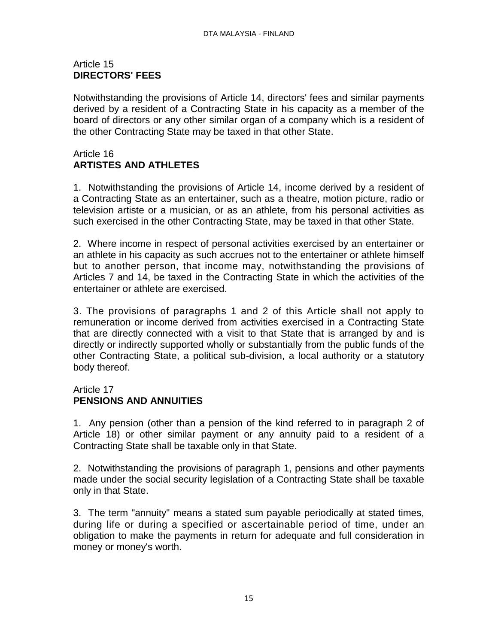#### Article 15 **DIRECTORS' FEES**

Notwithstanding the provisions of Article 14, directors' fees and similar payments derived by a resident of a Contracting State in his capacity as a member of the board of directors or any other similar organ of a company which is a resident of the other Contracting State may be taxed in that other State.

#### Article 16 **ARTISTES AND ATHLETES**

1. Notwithstanding the provisions of Article 14, income derived by a resident of a Contracting State as an entertainer, such as a theatre, motion picture, radio or television artiste or a musician, or as an athlete, from his personal activities as such exercised in the other Contracting State, may be taxed in that other State.

2. Where income in respect of personal activities exercised by an entertainer or an athlete in his capacity as such accrues not to the entertainer or athlete himself but to another person, that income may, notwithstanding the provisions of Articles 7 and 14, be taxed in the Contracting State in which the activities of the entertainer or athlete are exercised.

3. The provisions of paragraphs 1 and 2 of this Article shall not apply to remuneration or income derived from activities exercised in a Contracting State that are directly connected with a visit to that State that is arranged by and is directly or indirectly supported wholly or substantially from the public funds of the other Contracting State, a political sub-division, a local authority or a statutory body thereof.

## Article 17

## **PENSIONS AND ANNUITIES**

1. Any pension (other than a pension of the kind referred to in paragraph 2 of Article 18) or other similar payment or any annuity paid to a resident of a Contracting State shall be taxable only in that State.

2. Notwithstanding the provisions of paragraph 1, pensions and other payments made under the social security legislation of a Contracting State shall be taxable only in that State.

3. The term "annuity" means a stated sum payable periodically at stated times, during life or during a specified or ascertainable period of time, under an obligation to make the payments in return for adequate and full consideration in money or money's worth.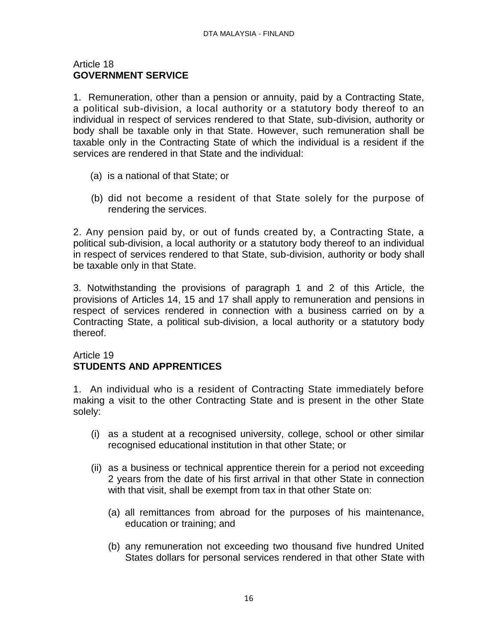#### Article 18 **GOVERNMENT SERVICE**

1. Remuneration, other than a pension or annuity, paid by a Contracting State, a political sub-division, a local authority or a statutory body thereof to an individual in respect of services rendered to that State, sub-division, authority or body shall be taxable only in that State. However, such remuneration shall be taxable only in the Contracting State of which the individual is a resident if the services are rendered in that State and the individual:

- (a) is a national of that State; or
- (b) did not become a resident of that State solely for the purpose of rendering the services.

2. Any pension paid by, or out of funds created by, a Contracting State, a political sub-division, a local authority or a statutory body thereof to an individual in respect of services rendered to that State, sub-division, authority or body shall be taxable only in that State.

3. Notwithstanding the provisions of paragraph 1 and 2 of this Article, the provisions of Articles 14, 15 and 17 shall apply to remuneration and pensions in respect of services rendered in connection with a business carried on by a Contracting State, a political sub-division, a local authority or a statutory body thereof.

#### Article 19 **STUDENTS AND APPRENTICES**

1. An individual who is a resident of Contracting State immediately before making a visit to the other Contracting State and is present in the other State solely:

- (i) as a student at a recognised university, college, school or other similar recognised educational institution in that other State; or
- (ii) as a business or technical apprentice therein for a period not exceeding 2 years from the date of his first arrival in that other State in connection with that visit, shall be exempt from tax in that other State on:
	- (a) all remittances from abroad for the purposes of his maintenance, education or training; and
	- (b) any remuneration not exceeding two thousand five hundred United States dollars for personal services rendered in that other State with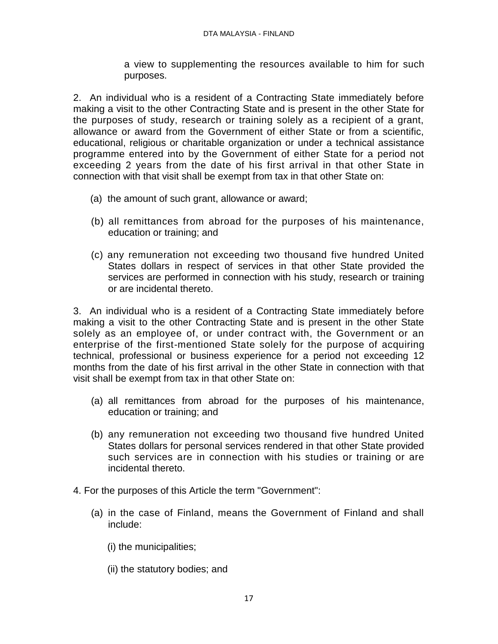a view to supplementing the resources available to him for such purposes.

2. An individual who is a resident of a Contracting State immediately before making a visit to the other Contracting State and is present in the other State for the purposes of study, research or training solely as a recipient of a grant, allowance or award from the Government of either State or from a scientific, educational, religious or charitable organization or under a technical assistance programme entered into by the Government of either State for a period not exceeding 2 years from the date of his first arrival in that other State in connection with that visit shall be exempt from tax in that other State on:

- (a) the amount of such grant, allowance or award;
- (b) all remittances from abroad for the purposes of his maintenance, education or training; and
- (c) any remuneration not exceeding two thousand five hundred United States dollars in respect of services in that other State provided the services are performed in connection with his study, research or training or are incidental thereto.

3. An individual who is a resident of a Contracting State immediately before making a visit to the other Contracting State and is present in the other State solely as an employee of, or under contract with, the Government or an enterprise of the first-mentioned State solely for the purpose of acquiring technical, professional or business experience for a period not exceeding 12 months from the date of his first arrival in the other State in connection with that visit shall be exempt from tax in that other State on:

- (a) all remittances from abroad for the purposes of his maintenance, education or training; and
- (b) any remuneration not exceeding two thousand five hundred United States dollars for personal services rendered in that other State provided such services are in connection with his studies or training or are incidental thereto.
- 4. For the purposes of this Article the term "Government":
	- (a) in the case of Finland, means the Government of Finland and shall include:
		- (i) the municipalities;
		- (ii) the statutory bodies; and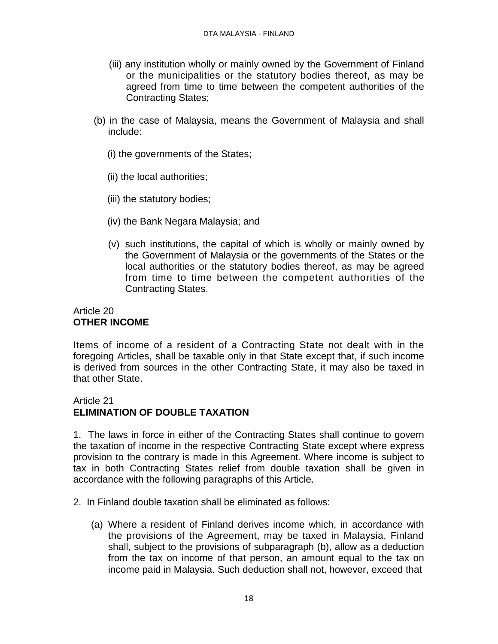- (iii) any institution wholly or mainly owned by the Government of Finland or the municipalities or the statutory bodies thereof, as may be agreed from time to time between the competent authorities of the Contracting States;
- (b) in the case of Malaysia, means the Government of Malaysia and shall include:
	- (i) the governments of the States;
	- (ii) the local authorities;
	- (iii) the statutory bodies;
	- (iv) the Bank Negara Malaysia; and
	- (v) such institutions, the capital of which is wholly or mainly owned by the Government of Malaysia or the governments of the States or the local authorities or the statutory bodies thereof, as may be agreed from time to time between the competent authorities of the Contracting States.

## Article 20 **OTHER INCOME**

Items of income of a resident of a Contracting State not dealt with in the foregoing Articles, shall be taxable only in that State except that, if such income is derived from sources in the other Contracting State, it may also be taxed in that other State.

#### Article 21

## **ELIMINATION OF DOUBLE TAXATION**

1. The laws in force in either of the Contracting States shall continue to govern the taxation of income in the respective Contracting State except where express provision to the contrary is made in this Agreement. Where income is subject to tax in both Contracting States relief from double taxation shall be given in accordance with the following paragraphs of this Article.

- 2. In Finland double taxation shall be eliminated as follows:
	- (a) Where a resident of Finland derives income which, in accordance with the provisions of the Agreement, may be taxed in Malaysia, Finland shall, subject to the provisions of subparagraph (b), allow as a deduction from the tax on income of that person, an amount equal to the tax on income paid in Malaysia. Such deduction shall not, however, exceed that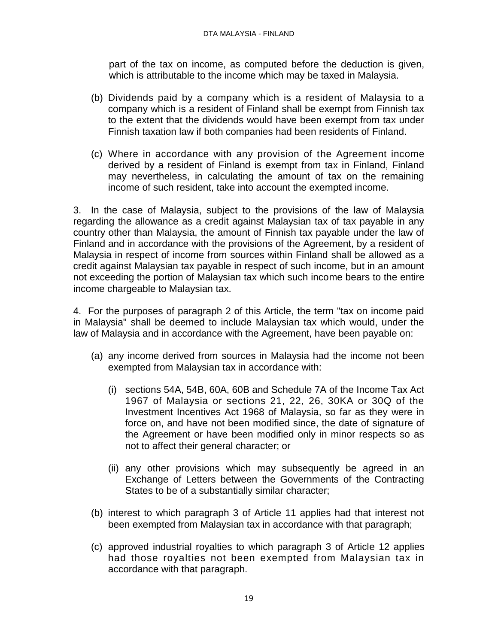part of the tax on income, as computed before the deduction is given, which is attributable to the income which may be taxed in Malaysia.

- (b) Dividends paid by a company which is a resident of Malaysia to a company which is a resident of Finland shall be exempt from Finnish tax to the extent that the dividends would have been exempt from tax under Finnish taxation law if both companies had been residents of Finland.
- (c) Where in accordance with any provision of the Agreement income derived by a resident of Finland is exempt from tax in Finland, Finland may nevertheless, in calculating the amount of tax on the remaining income of such resident, take into account the exempted income.

3. In the case of Malaysia, subject to the provisions of the law of Malaysia regarding the allowance as a credit against Malaysian tax of tax payable in any country other than Malaysia, the amount of Finnish tax payable under the law of Finland and in accordance with the provisions of the Agreement, by a resident of Malaysia in respect of income from sources within Finland shall be allowed as a credit against Malaysian tax payable in respect of such income, but in an amount not exceeding the portion of Malaysian tax which such income bears to the entire income chargeable to Malaysian tax.

4. For the purposes of paragraph 2 of this Article, the term "tax on income paid in Malaysia" shall be deemed to include Malaysian tax which would, under the law of Malaysia and in accordance with the Agreement, have been payable on:

- (a) any income derived from sources in Malaysia had the income not been exempted from Malaysian tax in accordance with:
	- (i) sections 54A, 54B, 60A, 60B and Schedule 7A of the Income Tax Act 1967 of Malaysia or sections 21, 22, 26, 30KA or 30Q of the Investment Incentives Act 1968 of Malaysia, so far as they were in force on, and have not been modified since, the date of signature of the Agreement or have been modified only in minor respects so as not to affect their general character; or
	- (ii) any other provisions which may subsequently be agreed in an Exchange of Letters between the Governments of the Contracting States to be of a substantially similar character;
- (b) interest to which paragraph 3 of Article 11 applies had that interest not been exempted from Malaysian tax in accordance with that paragraph;
- (c) approved industrial royalties to which paragraph 3 of Article 12 applies had those royalties not been exempted from Malaysian tax in accordance with that paragraph.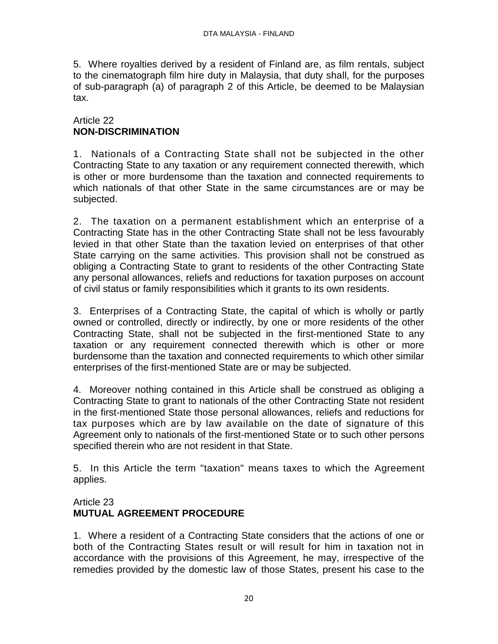5. Where royalties derived by a resident of Finland are, as film rentals, subject to the cinematograph film hire duty in Malaysia, that duty shall, for the purposes of sub-paragraph (a) of paragraph 2 of this Article, be deemed to be Malaysian tax.

#### Article 22 **NON-DISCRIMINATION**

1. Nationals of a Contracting State shall not be subjected in the other Contracting State to any taxation or any requirement connected therewith, which is other or more burdensome than the taxation and connected requirements to which nationals of that other State in the same circumstances are or may be subjected.

2. The taxation on a permanent establishment which an enterprise of a Contracting State has in the other Contracting State shall not be less favourably levied in that other State than the taxation levied on enterprises of that other State carrying on the same activities. This provision shall not be construed as obliging a Contracting State to grant to residents of the other Contracting State any personal allowances, reliefs and reductions for taxation purposes on account of civil status or family responsibilities which it grants to its own residents.

3. Enterprises of a Contracting State, the capital of which is wholly or partly owned or controlled, directly or indirectly, by one or more residents of the other Contracting State, shall not be subjected in the first-mentioned State to any taxation or any requirement connected therewith which is other or more burdensome than the taxation and connected requirements to which other similar enterprises of the first-mentioned State are or may be subjected.

4. Moreover nothing contained in this Article shall be construed as obliging a Contracting State to grant to nationals of the other Contracting State not resident in the first-mentioned State those personal allowances, reliefs and reductions for tax purposes which are by law available on the date of signature of this Agreement only to nationals of the first-mentioned State or to such other persons specified therein who are not resident in that State.

5. In this Article the term "taxation" means taxes to which the Agreement applies.

## Article 23 **MUTUAL AGREEMENT PROCEDURE**

1. Where a resident of a Contracting State considers that the actions of one or both of the Contracting States result or will result for him in taxation not in accordance with the provisions of this Agreement, he may, irrespective of the remedies provided by the domestic law of those States, present his case to the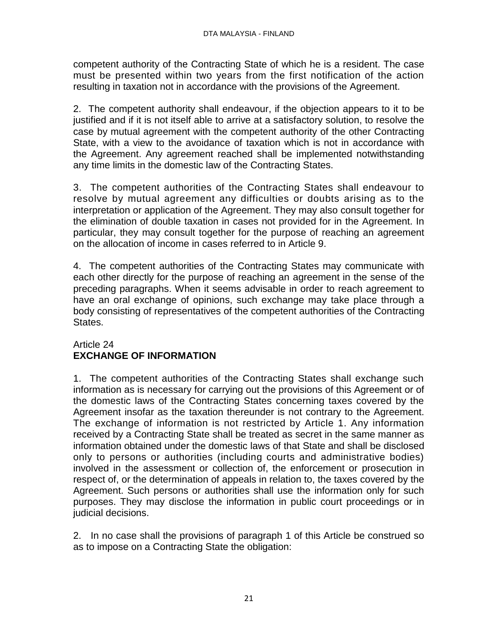competent authority of the Contracting State of which he is a resident. The case must be presented within two years from the first notification of the action resulting in taxation not in accordance with the provisions of the Agreement.

2. The competent authority shall endeavour, if the objection appears to it to be justified and if it is not itself able to arrive at a satisfactory solution, to resolve the case by mutual agreement with the competent authority of the other Contracting State, with a view to the avoidance of taxation which is not in accordance with the Agreement. Any agreement reached shall be implemented notwithstanding any time limits in the domestic law of the Contracting States.

3. The competent authorities of the Contracting States shall endeavour to resolve by mutual agreement any difficulties or doubts arising as to the interpretation or application of the Agreement. They may also consult together for the elimination of double taxation in cases not provided for in the Agreement. In particular, they may consult together for the purpose of reaching an agreement on the allocation of income in cases referred to in Article 9.

4. The competent authorities of the Contracting States may communicate with each other directly for the purpose of reaching an agreement in the sense of the preceding paragraphs. When it seems advisable in order to reach agreement to have an oral exchange of opinions, such exchange may take place through a body consisting of representatives of the competent authorities of the Contracting States.

#### Article 24 **EXCHANGE OF INFORMATION**

1. The competent authorities of the Contracting States shall exchange such information as is necessary for carrying out the provisions of this Agreement or of the domestic laws of the Contracting States concerning taxes covered by the Agreement insofar as the taxation thereunder is not contrary to the Agreement. The exchange of information is not restricted by Article 1. Any information received by a Contracting State shall be treated as secret in the same manner as information obtained under the domestic laws of that State and shall be disclosed only to persons or authorities (including courts and administrative bodies) involved in the assessment or collection of, the enforcement or prosecution in respect of, or the determination of appeals in relation to, the taxes covered by the Agreement. Such persons or authorities shall use the information only for such purposes. They may disclose the information in public court proceedings or in judicial decisions.

2. In no case shall the provisions of paragraph 1 of this Article be construed so as to impose on a Contracting State the obligation: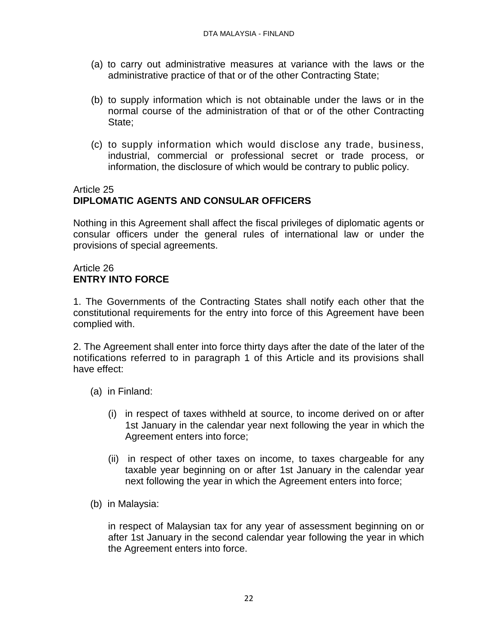- (a) to carry out administrative measures at variance with the laws or the administrative practice of that or of the other Contracting State;
- (b) to supply information which is not obtainable under the laws or in the normal course of the administration of that or of the other Contracting State:
- (c) to supply information which would disclose any trade, business, industrial, commercial or professional secret or trade process, or information, the disclosure of which would be contrary to public policy.

#### Article 25 **DIPLOMATIC AGENTS AND CONSULAR OFFICERS**

Nothing in this Agreement shall affect the fiscal privileges of diplomatic agents or consular officers under the general rules of international law or under the provisions of special agreements.

#### Article 26 **ENTRY INTO FORCE**

1. The Governments of the Contracting States shall notify each other that the constitutional requirements for the entry into force of this Agreement have been complied with.

2. The Agreement shall enter into force thirty days after the date of the later of the notifications referred to in paragraph 1 of this Article and its provisions shall have effect:

- (a) in Finland:
	- (i) in respect of taxes withheld at source, to income derived on or after 1st January in the calendar year next following the year in which the Agreement enters into force;
	- (ii) in respect of other taxes on income, to taxes chargeable for any taxable year beginning on or after 1st January in the calendar year next following the year in which the Agreement enters into force;
- (b) in Malaysia:

in respect of Malaysian tax for any year of assessment beginning on or after 1st January in the second calendar year following the year in which the Agreement enters into force.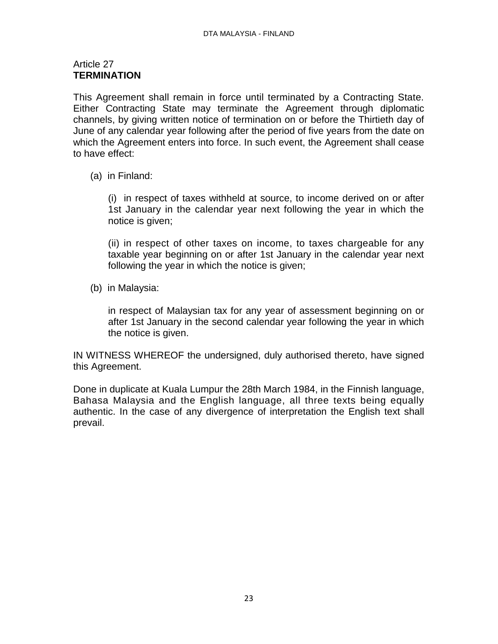#### Article 27 **TERMINATION**

This Agreement shall remain in force until terminated by a Contracting State. Either Contracting State may terminate the Agreement through diplomatic channels, by giving written notice of termination on or before the Thirtieth day of June of any calendar year following after the period of five years from the date on which the Agreement enters into force. In such event, the Agreement shall cease to have effect:

(a) in Finland:

(i) in respect of taxes withheld at source, to income derived on or after 1st January in the calendar year next following the year in which the notice is given;

(ii) in respect of other taxes on income, to taxes chargeable for any taxable year beginning on or after 1st January in the calendar year next following the year in which the notice is given;

(b) in Malaysia:

in respect of Malaysian tax for any year of assessment beginning on or after 1st January in the second calendar year following the year in which the notice is given.

IN WITNESS WHEREOF the undersigned, duly authorised thereto, have signed this Agreement.

Done in duplicate at Kuala Lumpur the 28th March 1984, in the Finnish language, Bahasa Malaysia and the English language, all three texts being equally authentic. In the case of any divergence of interpretation the English text shall prevail.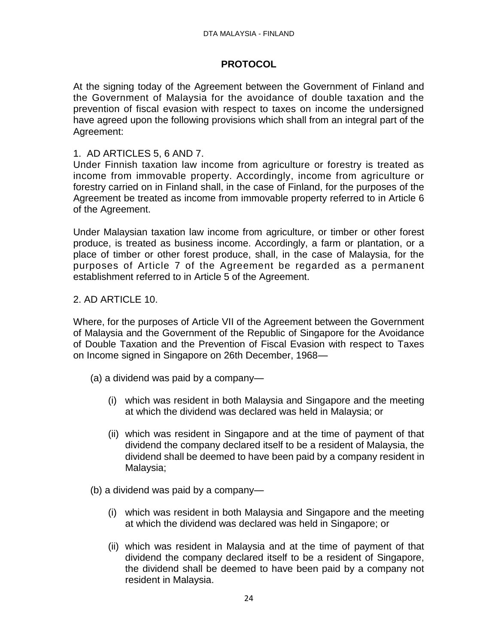#### **PROTOCOL**

At the signing today of the Agreement between the Government of Finland and the Government of Malaysia for the avoidance of double taxation and the prevention of fiscal evasion with respect to taxes on income the undersigned have agreed upon the following provisions which shall from an integral part of the Agreement:

1. AD ARTICLES 5, 6 AND 7.

Under Finnish taxation law income from agriculture or forestry is treated as income from immovable property. Accordingly, income from agriculture or forestry carried on in Finland shall, in the case of Finland, for the purposes of the Agreement be treated as income from immovable property referred to in Article 6 of the Agreement.

Under Malaysian taxation law income from agriculture, or timber or other forest produce, is treated as business income. Accordingly, a farm or plantation, or a place of timber or other forest produce, shall, in the case of Malaysia, for the purposes of Article 7 of the Agreement be regarded as a permanent establishment referred to in Article 5 of the Agreement.

#### 2. AD ARTICLE 10.

Where, for the purposes of Article VII of the Agreement between the Government of Malaysia and the Government of the Republic of Singapore for the Avoidance of Double Taxation and the Prevention of Fiscal Evasion with respect to Taxes on Income signed in Singapore on 26th December, 1968—

- (a) a dividend was paid by a company—
	- (i) which was resident in both Malaysia and Singapore and the meeting at which the dividend was declared was held in Malaysia; or
	- (ii) which was resident in Singapore and at the time of payment of that dividend the company declared itself to be a resident of Malaysia, the dividend shall be deemed to have been paid by a company resident in Malaysia;
- (b) a dividend was paid by a company—
	- (i) which was resident in both Malaysia and Singapore and the meeting at which the dividend was declared was held in Singapore; or
	- (ii) which was resident in Malaysia and at the time of payment of that dividend the company declared itself to be a resident of Singapore, the dividend shall be deemed to have been paid by a company not resident in Malaysia.